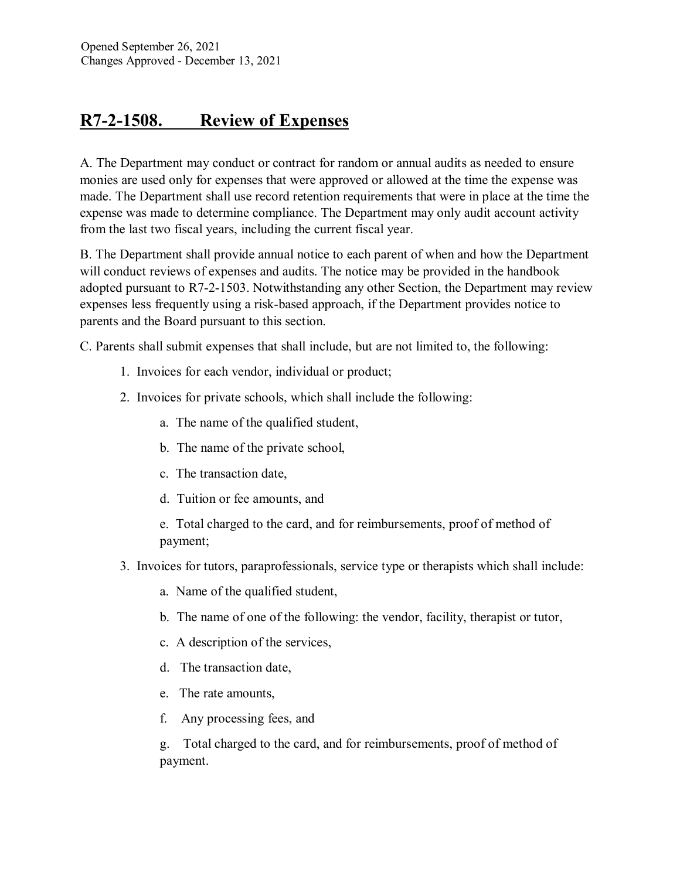## **R7-2-1508. Review of Expenses**

A. The Department may conduct or contract for random or annual audits as needed to ensure monies are used only for expenses that were approved or allowed at the time the expense was made. The Department shall use record retention requirements that were in place at the time the expense was made to determine compliance. The Department may only audit account activity from the last two fiscal years, including the current fiscal year.

B. The Department shall provide annual notice to each parent of when and how the Department will conduct reviews of expenses and audits. The notice may be provided in the handbook adopted pursuant to R7-2-1503. Notwithstanding any other Section, the Department may review expenses less frequently using a risk-based approach, if the Department provides notice to parents and the Board pursuant to this section.

C. Parents shall submit expenses that shall include, but are not limited to, the following:

- 1. Invoices for each vendor, individual or product;
- 2. Invoices for private schools, which shall include the following:
	- a. The name of the qualified student,
	- b. The name of the private school,
	- c. The transaction date,
	- d. Tuition or fee amounts, and

e. Total charged to the card, and for reimbursements, proof of method of payment;

- 3. Invoices for tutors, paraprofessionals, service type or therapists which shall include:
	- a. Name of the qualified student,
	- b. The name of one of the following: the vendor, facility, therapist or tutor,
	- c. A description of the services,
	- d. The transaction date,
	- e. The rate amounts,
	- f. Any processing fees, and

g. Total charged to the card, and for reimbursements, proof of method of payment.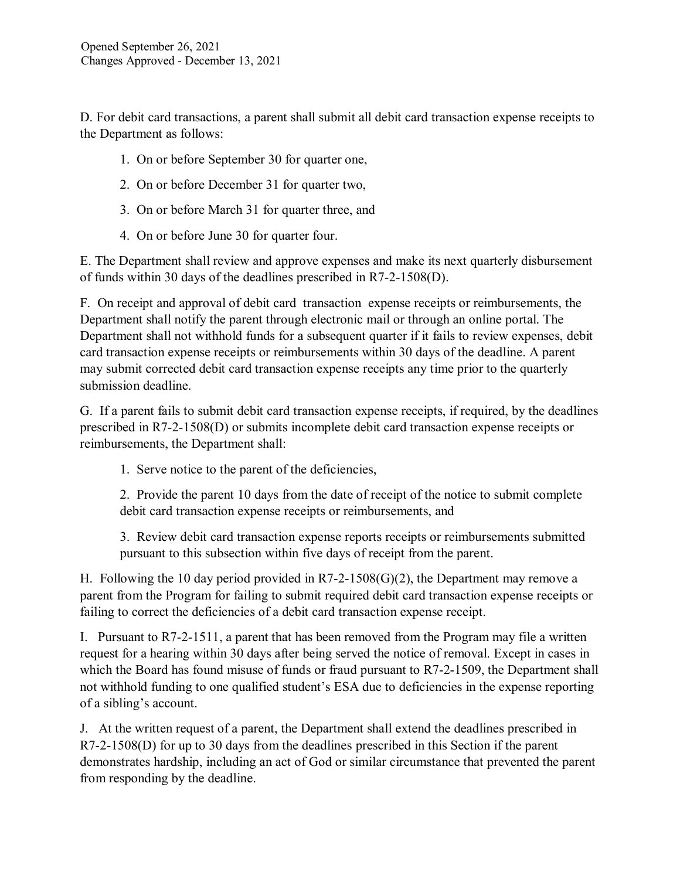D. For debit card transactions, a parent shall submit all debit card transaction expense receipts to the Department as follows:

- 1. On or before September 30 for quarter one,
- 2. On or before December 31 for quarter two,
- 3. On or before March 31 for quarter three, and
- 4. On or before June 30 for quarter four.

E. The Department shall review and approve expenses and make its next quarterly disbursement of funds within 30 days of the deadlines prescribed in R7-2-1508(D).

F. On receipt and approval of debit card transaction expense receipts or reimbursements, the Department shall notify the parent through electronic mail or through an online portal. The Department shall not withhold funds for a subsequent quarter if it fails to review expenses, debit card transaction expense receipts or reimbursements within 30 days of the deadline. A parent may submit corrected debit card transaction expense receipts any time prior to the quarterly submission deadline.

G. If a parent fails to submit debit card transaction expense receipts, if required, by the deadlines prescribed in R7-2-1508(D) or submits incomplete debit card transaction expense receipts or reimbursements, the Department shall:

1. Serve notice to the parent of the deficiencies,

2. Provide the parent 10 days from the date of receipt of the notice to submit complete debit card transaction expense receipts or reimbursements, and

3. Review debit card transaction expense reports receipts or reimbursements submitted pursuant to this subsection within five days of receipt from the parent.

H. Following the 10 day period provided in R7-2-1508(G)(2), the Department may remove a parent from the Program for failing to submit required debit card transaction expense receipts or failing to correct the deficiencies of a debit card transaction expense receipt.

I. Pursuant to R7-2-1511, a parent that has been removed from the Program may file a written request for a hearing within 30 days after being served the notice of removal. Except in cases in which the Board has found misuse of funds or fraud pursuant to R7-2-1509, the Department shall not withhold funding to one qualified student's ESA due to deficiencies in the expense reporting of a sibling's account.

J. At the written request of a parent, the Department shall extend the deadlines prescribed in R7-2-1508(D) for up to 30 days from the deadlines prescribed in this Section if the parent demonstrates hardship, including an act of God or similar circumstance that prevented the parent from responding by the deadline.